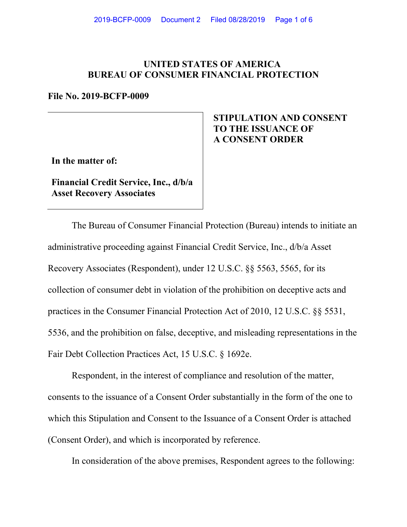## **UNITED STATES OF AMERICA BUREAU OF CONSUMER FINANCIAL PROTECTION**

### **File No. 2019-BCFP-0009**

### **In the matter of:**

**Financial Credit Service, Inc., d/b/a Asset Recovery Associates**

# **STIPULATION AND CONSENT TO THE ISSUANCE OF A CONSENT ORDER**

The Bureau of Consumer Financial Protection (Bureau) intends to initiate an administrative proceeding against Financial Credit Service, Inc., d/b/a Asset Recovery Associates (Respondent), under 12 U.S.C. §§ 5563, 5565, for its collection of consumer debt in violation of the prohibition on deceptive acts and practices in the Consumer Financial Protection Act of 2010, 12 U.S.C. §§ 5531, 5536, and the prohibition on false, deceptive, and misleading representations in the Fair Debt Collection Practices Act, 15 U.S.C. § 1692e.

Respondent, in the interest of compliance and resolution of the matter, consents to the issuance of a Consent Order substantially in the form of the one to which this Stipulation and Consent to the Issuance of a Consent Order is attached (Consent Order), and which is incorporated by reference.

In consideration of the above premises, Respondent agrees to the following: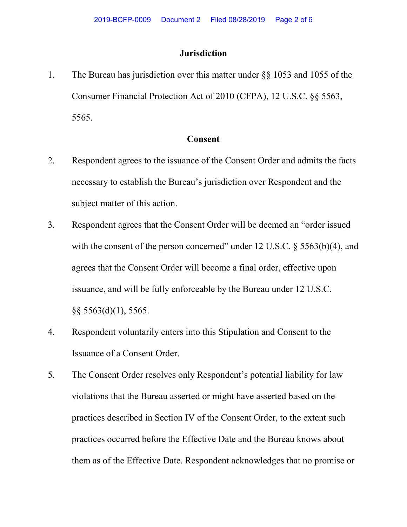### **Jurisdiction**

1. The Bureau has jurisdiction over this matter under §§ 1053 and 1055 of the Consumer Financial Protection Act of 2010 (CFPA), 12 U.S.C. §§ 5563, 5565.

## **Consent**

- 2. Respondent agrees to the issuance of the Consent Order and admits the facts necessary to establish the Bureau's jurisdiction over Respondent and the subject matter of this action.
- 3. Respondent agrees that the Consent Order will be deemed an "order issued with the consent of the person concerned" under 12 U.S.C. § 5563(b)(4), and agrees that the Consent Order will become a final order, effective upon issuance, and will be fully enforceable by the Bureau under 12 U.S.C. §§ 5563(d)(1), 5565.
- 4. Respondent voluntarily enters into this Stipulation and Consent to the Issuance of a Consent Order.
- 5. The Consent Order resolves only Respondent's potential liability for law violations that the Bureau asserted or might have asserted based on the practices described in Section IV of the Consent Order, to the extent such practices occurred before the Effective Date and the Bureau knows about them as of the Effective Date. Respondent acknowledges that no promise or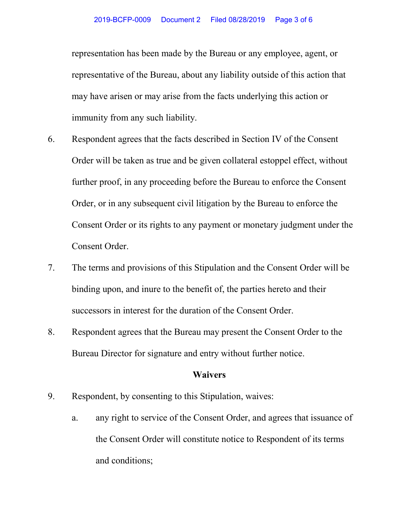representation has been made by the Bureau or any employee, agent, or representative of the Bureau, about any liability outside of this action that may have arisen or may arise from the facts underlying this action or immunity from any such liability.

- 6. Respondent agrees that the facts described in Section IV of the Consent Order will be taken as true and be given collateral estoppel effect, without further proof, in any proceeding before the Bureau to enforce the Consent Order, or in any subsequent civil litigation by the Bureau to enforce the Consent Order or its rights to any payment or monetary judgment under the Consent Order.
- 7. The terms and provisions of this Stipulation and the Consent Order will be binding upon, and inure to the benefit of, the parties hereto and their successors in interest for the duration of the Consent Order.
- 8. Respondent agrees that the Bureau may present the Consent Order to the Bureau Director for signature and entry without further notice.

### **Waivers**

- 9. Respondent, by consenting to this Stipulation, waives:
	- a. any right to service of the Consent Order, and agrees that issuance of the Consent Order will constitute notice to Respondent of its terms and conditions;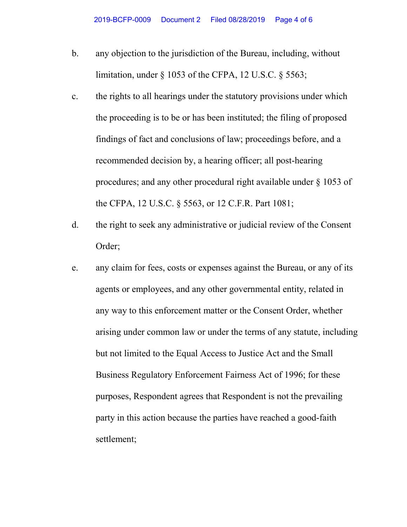- b. any objection to the jurisdiction of the Bureau, including, without limitation, under § 1053 of the CFPA, 12 U.S.C. § 5563;
- c. the rights to all hearings under the statutory provisions under which the proceeding is to be or has been instituted; the filing of proposed findings of fact and conclusions of law; proceedings before, and a recommended decision by, a hearing officer; all post-hearing procedures; and any other procedural right available under § 1053 of the CFPA, 12 U.S.C. § 5563, or 12 C.F.R. Part 1081;
- d. the right to seek any administrative or judicial review of the Consent Order;
- e. any claim for fees, costs or expenses against the Bureau, or any of its agents or employees, and any other governmental entity, related in any way to this enforcement matter or the Consent Order, whether arising under common law or under the terms of any statute, including but not limited to the Equal Access to Justice Act and the Small Business Regulatory Enforcement Fairness Act of 1996; for these purposes, Respondent agrees that Respondent is not the prevailing party in this action because the parties have reached a good-faith settlement;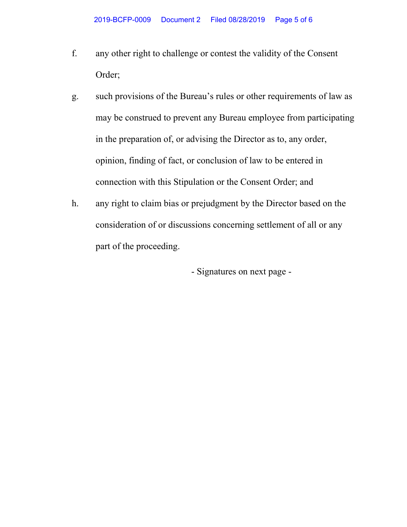- f. any other right to challenge or contest the validity of the Consent Order;
- g. such provisions of the Bureau's rules or other requirements of law as may be construed to prevent any Bureau employee from participating in the preparation of, or advising the Director as to, any order, opinion, finding of fact, or conclusion of law to be entered in connection with this Stipulation or the Consent Order; and
- h. any right to claim bias or prejudgment by the Director based on the consideration of or discussions concerning settlement of all or any part of the proceeding.

- Signatures on next page -